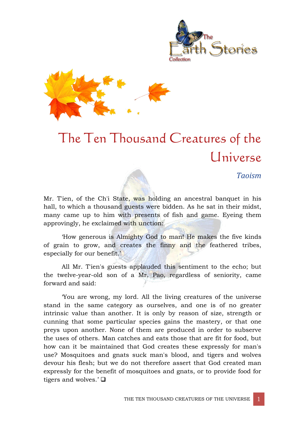



# The Ten Thousand Creatures of the Universe

#### *Taoism*

Mr. Tien, of the Ch'i State, was holding an ancestral banquet in his hall, to which a thousand guests were bidden. As he sat in their midst, many came up to him with presents of fish and game. Eyeing them approvingly, he exclaimed with unction:

'How generous is Almighty God to man! He makes the five kinds of grain to grow, and creates the finny and the feathered tribes, especially for our benefit.'

All Mr. T'ien's guests applauded this sentiment to the echo; but the twelve-year-old son of a Mr. Pao, regardless of seniority, came forward and said:

'You are wrong, my lord. All the living creatures of the universe stand in the same category as ourselves, and one is of no greater intrinsic value than another. It is only by reason of size, strength or cunning that some particular species gains the mastery, or that one preys upon another. None of them are produced in order to subserve the uses of others. Man catches and eats those that are fit for food, but how can it be maintained that God creates these expressly for man's use? Mosquitoes and gnats suck man's blood, and tigers and wolves devour his flesh; but we do not therefore assert that God created man expressly for the benefit of mosquitoes and gnats, or to provide food for tigers and wolves.' $\Box$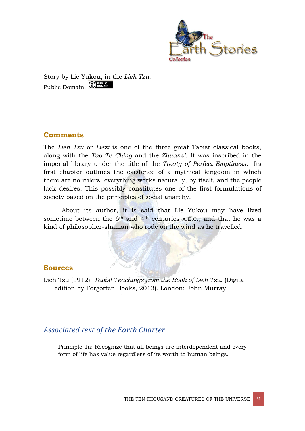

Story by Lie Yukou, in the *Lieh Tzu.* Public Domain. **ODEN BONAIN** 

### **Comments**

The *Lieh Tzu* or *Liezi* is one of the three great Taoist classical books, along with the *Tao Te Ching* and the *Zhuanzi*. It was inscribed in the imperial library under the title of the *Treaty of Perfect Emptiness.* Its first chapter outlines the existence of a mythical kingdom in which there are no rulers, everything works naturally, by itself, and the people lack desires. This possibly constitutes one of the first formulations of society based on the principles of social anarchy.

About its author, it is said that Lie Yukou may have lived sometime between the 6<sup>th</sup> and 4<sup>th</sup> centuries A.E.C., and that he was a kind of philosopher-shaman who rode on the wind as he travelled.

#### **Sources**

Lieh Tzu (1912). *Taoist Teachings from the Book of Lieh Tzu.* (Digital edition by Forgotten Books, 2013). London: John Murray.

## *Associated text of the Earth Charter*

Principle 1a: Recognize that all beings are interdependent and every form of life has value regardless of its worth to human beings.